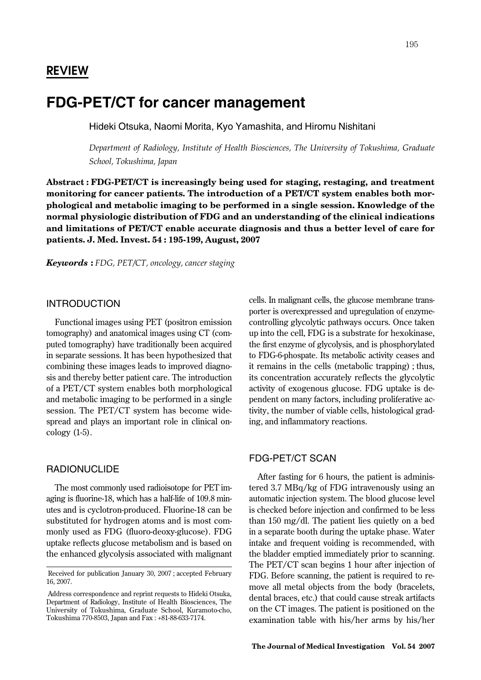## **REVIEW**

# **FDG-PET/CT for cancer management**

Hideki Otsuka, Naomi Morita, Kyo Yamashita, and Hiromu Nishitani

*Department of Radiology, Institute of Health Biosciences, The University of Tokushima, Graduate School, Tokushima, Japan*

**Abstract : FDG-PET/CT is increasingly being used for staging, restaging, and treatment monitoring for cancer patients. The introduction of a PET/CT system enables both morphological and metabolic imaging to be performed in a single session. Knowledge of the normal physiologic distribution of FDG and an understanding of the clinical indications and limitations of PET/CT enable accurate diagnosis and thus a better level of care for patients. J. Med. Invest. 54 : 195-199, August, 2007**

*Keywords* **:** *FDG, PET/CT, oncology, cancer staging*

#### INTRODUCTION

Functional images using PET (positron emission tomography) and anatomical images using CT (computed tomography) have traditionally been acquired in separate sessions. It has been hypothesized that combining these images leads to improved diagnosis and thereby better patient care. The introduction of a PET/CT system enables both morphological and metabolic imaging to be performed in a single session. The PET/CT system has become widespread and plays an important role in clinical oncology (1-5).

#### RADIONUCLIDE

The most commonly used radioisotope for PET imaging is fluorine-18, which has a half-life of 109.8 minutes and is cyclotron-produced. Fluorine-18 can be substituted for hydrogen atoms and is most commonly used as FDG (fluoro-deoxy-glucose). FDG uptake reflects glucose metabolism and is based on the enhanced glycolysis associated with malignant cells. In malignant cells, the glucose membrane transporter is overexpressed and upregulation of enzymecontrolling glycolytic pathways occurs. Once taken up into the cell, FDG is a substrate for hexokinase, the first enzyme of glycolysis, and is phosphorylated to FDG-6-phospate. Its metabolic activity ceases and it remains in the cells (metabolic trapping) ; thus, its concentration accurately reflects the glycolytic activity of exogenous glucose. FDG uptake is dependent on many factors, including proliferative activity, the number of viable cells, histological grading, and inflammatory reactions.

## FDG-PET/CT SCAN

After fasting for 6 hours, the patient is administered 3.7 MBq/kg of FDG intravenously using an automatic injection system. The blood glucose level is checked before injection and confirmed to be less than 150 mg/dl. The patient lies quietly on a bed in a separate booth during the uptake phase. Water intake and frequent voiding is recommended, with the bladder emptied immediately prior to scanning. The PET/CT scan begins 1 hour after injection of FDG. Before scanning, the patient is required to remove all metal objects from the body (bracelets, dental braces, etc.) that could cause streak artifacts on the CT images. The patient is positioned on the examination table with his/her arms by his/her

Received for publication January 30, 2007 ; accepted February 16, 2007.

Address correspondence and reprint requests to Hideki Otsuka, Department of Radiology, Institute of Health Biosciences, The University of Tokushima, Graduate School, Kuramoto-cho, Tokushima 770-8503, Japan and Fax : +81-88-633-7174.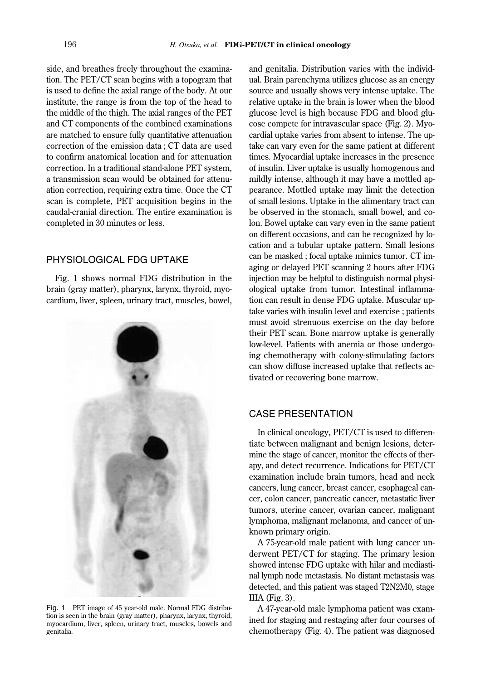side, and breathes freely throughout the examination. The PET/CT scan begins with a topogram that is used to define the axial range of the body. At our institute, the range is from the top of the head to the middle of the thigh. The axial ranges of the PET and CT components of the combined examinations are matched to ensure fully quantitative attenuation correction of the emission data ; CT data are used to confirm anatomical location and for attenuation correction. In a traditional stand-alone PET system, a transmission scan would be obtained for attenuation correction, requiring extra time. Once the CT scan is complete, PET acquisition begins in the caudal-cranial direction. The entire examination is completed in 30 minutes or less.

## PHYSIOLOGICAL FDG UPTAKE

Fig. 1 shows normal FDG distribution in the brain (gray matter), pharynx, larynx, thyroid, myocardium, liver, spleen, urinary tract, muscles, bowel,



Fig. 1 PET image of 45 year-old male. Normal FDG distribution is seen in the brain (gray matter), pharynx, larynx, thyroid, myocardium, liver, spleen, urinary tract, muscles, bowels and genitalia.

and genitalia. Distribution varies with the individual. Brain parenchyma utilizes glucose as an energy source and usually shows very intense uptake. The relative uptake in the brain is lower when the blood glucose level is high because FDG and blood glucose compete for intravascular space (Fig. 2). Myocardial uptake varies from absent to intense. The uptake can vary even for the same patient at different times. Myocardial uptake increases in the presence of insulin. Liver uptake is usually homogenous and mildly intense, although it may have a mottled appearance. Mottled uptake may limit the detection of small lesions. Uptake in the alimentary tract can be observed in the stomach, small bowel, and colon. Bowel uptake can vary even in the same patient on different occasions, and can be recognized by location and a tubular uptake pattern. Small lesions can be masked ; focal uptake mimics tumor. CT imaging or delayed PET scanning 2 hours after FDG injection may be helpful to distinguish normal physiological uptake from tumor. Intestinal inflammation can result in dense FDG uptake. Muscular uptake varies with insulin level and exercise ; patients must avoid strenuous exercise on the day before their PET scan. Bone marrow uptake is generally low-level. Patients with anemia or those undergoing chemotherapy with colony-stimulating factors can show diffuse increased uptake that reflects activated or recovering bone marrow.

## CASE PRESENTATION

In clinical oncology, PET/CT is used to differentiate between malignant and benign lesions, determine the stage of cancer, monitor the effects of therapy, and detect recurrence. Indications for PET/CT examination include brain tumors, head and neck cancers, lung cancer, breast cancer, esophageal cancer, colon cancer, pancreatic cancer, metastatic liver tumors, uterine cancer, ovarian cancer, malignant lymphoma, malignant melanoma, and cancer of unknown primary origin.

A 75-year-old male patient with lung cancer underwent PET/CT for staging. The primary lesion showed intense FDG uptake with hilar and mediastinal lymph node metastasis. No distant metastasis was detected, and this patient was staged T2N2M0, stage IIIA  $(Fi\mathfrak{g}, 3)$ .

A 47-year-old male lymphoma patient was examined for staging and restaging after four courses of chemotherapy (Fig. 4). The patient was diagnosed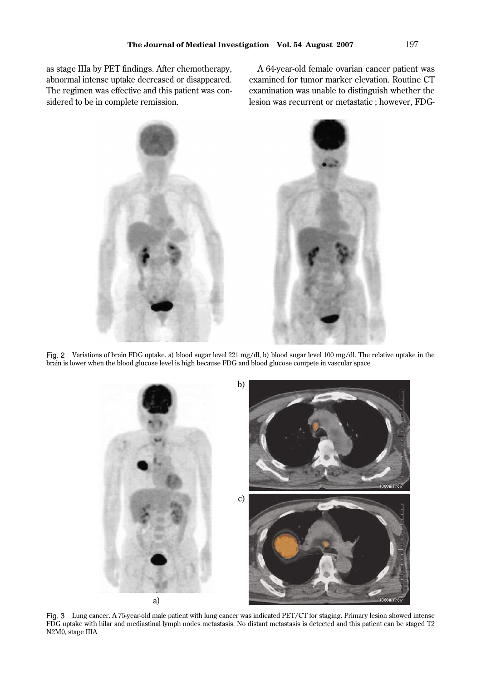as stage IIIa by PET findings. After chemotherapy, abnormal intense uptake decreased or disappeared. The regimen was effective and this patient was considered to be in complete remission.

A 64-year-old female ovarian cancer patient was examined for tumor marker elevation. Routine CT examination was unable to distinguish whether the lesion was recurrent or metastatic ; however, FDG-



Fig. 2 Variations of brain FDG uptake. a) blood sugar level 221 mg/dl, b) blood sugar level 100 mg/dl. The relative uptake in the brain is lower when the blood glucose level is high because FDG and blood glucose compete in vascular space



Fig. 3 Lung cancer. A 75-year-old male patient with lung cancer was indicated PET/CT for staging. Primary lesion showed intense FDG uptake with hilar and mediastinal lymph nodes metastasis. No distant metastasis is detected and this patient can be staged T2 N2M0, stage IIIA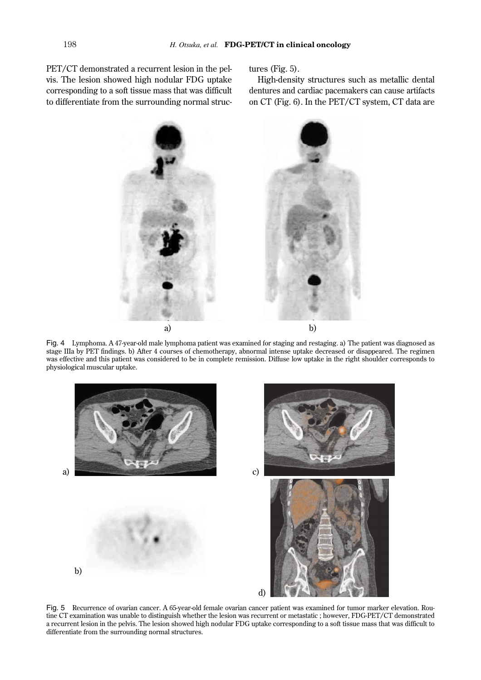PET/CT demonstrated a recurrent lesion in the pelvis. The lesion showed high nodular FDG uptake corresponding to a soft tissue mass that was difficult to differentiate from the surrounding normal structures (Fig. 5).

High-density structures such as metallic dental dentures and cardiac pacemakers can cause artifacts on CT (Fig. 6). In the PET/CT system, CT data are



Fig. 4 Lymphoma. A 47-year-old male lymphoma patient was examined for staging and restaging. a) The patient was diagnosed as stage IIIa by PET findings. b) After 4 courses of chemotherapy, abnormal intense uptake decreased or disappeared. The regimen was effective and this patient was considered to be in complete remission. Diffuse low uptake in the right shoulder corresponds to physiological muscular uptake.



Fig. 5 Recurrence of ovarian cancer. A 65-year-old female ovarian cancer patient was examined for tumor marker elevation. Routine CT examination was unable to distinguish whether the lesion was recurrent or metastatic ; however, FDG-PET/CT demonstrated a recurrent lesion in the pelvis. The lesion showed high nodular FDG uptake corresponding to a soft tissue mass that was difficult to differentiate from the surrounding normal structures.